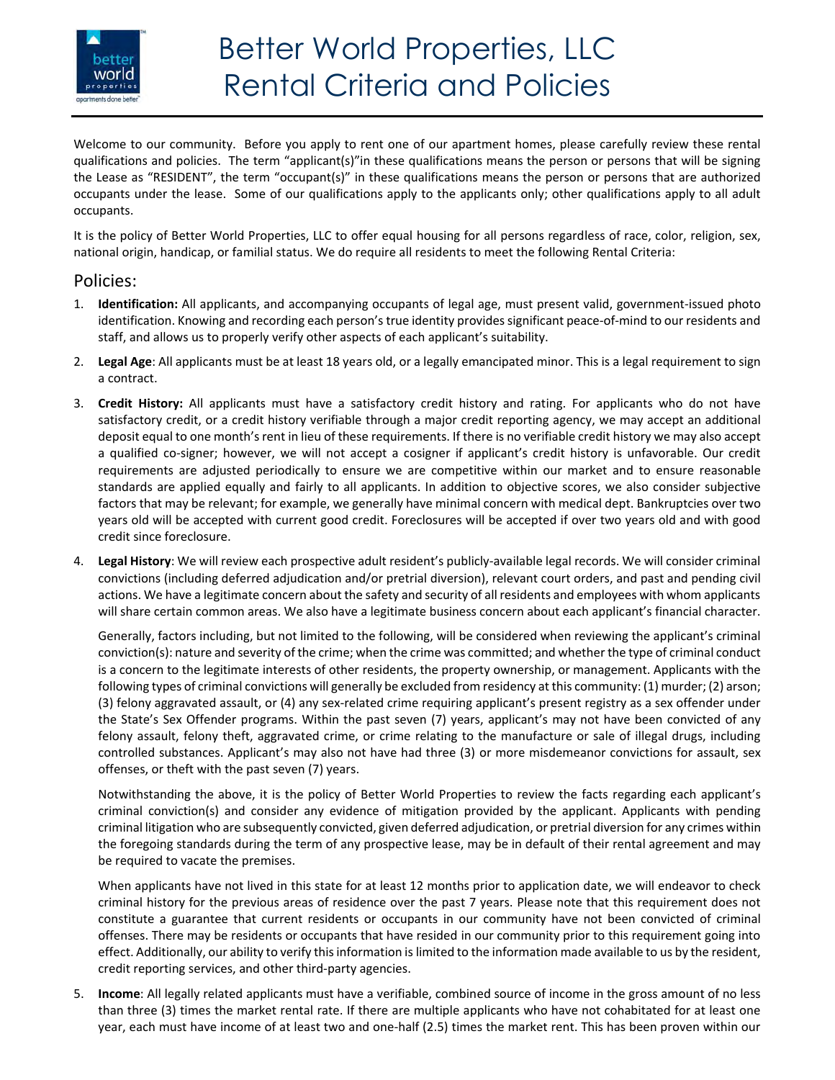

Welcome to our community. Before you apply to rent one of our apartment homes, please carefully review these rental qualifications and policies. The term "applicant(s)"in these qualifications means the person or persons that will be signing the Lease as "RESIDENT", the term "occupant(s)" in these qualifications means the person or persons that are authorized occupants under the lease. Some of our qualifications apply to the applicants only; other qualifications apply to all adult occupants.

It is the policy of Better World Properties, LLC to offer equal housing for all persons regardless of race, color, religion, sex, national origin, handicap, or familial status. We do require all residents to meet the following Rental Criteria:

## Policies:

- 1. **Identification:** All applicants, and accompanying occupants of legal age, must present valid, government‐issued photo identification. Knowing and recording each person's true identity provides significant peace‐of‐mind to our residents and staff, and allows us to properly verify other aspects of each applicant's suitability.
- 2. **Legal Age**: All applicants must be at least 18 years old, or a legally emancipated minor. This is a legal requirement to sign a contract.
- 3. **Credit History:** All applicants must have a satisfactory credit history and rating. For applicants who do not have satisfactory credit, or a credit history verifiable through a major credit reporting agency, we may accept an additional deposit equal to one month's rent in lieu of these requirements. If there is no verifiable credit history we may also accept a qualified co-signer; however, we will not accept a cosigner if applicant's credit history is unfavorable. Our credit requirements are adjusted periodically to ensure we are competitive within our market and to ensure reasonable standards are applied equally and fairly to all applicants. In addition to objective scores, we also consider subjective factors that may be relevant; for example, we generally have minimal concern with medical dept. Bankruptcies over two years old will be accepted with current good credit. Foreclosures will be accepted if over two years old and with good credit since foreclosure.
- 4. **Legal History**: We will review each prospective adult resident's publicly‐available legal records. We will consider criminal convictions (including deferred adjudication and/or pretrial diversion), relevant court orders, and past and pending civil actions. We have a legitimate concern about the safety and security of all residents and employees with whom applicants will share certain common areas. We also have a legitimate business concern about each applicant's financial character.

Generally, factors including, but not limited to the following, will be considered when reviewing the applicant's criminal conviction(s): nature and severity of the crime; when the crime was committed; and whether the type of criminal conduct is a concern to the legitimate interests of other residents, the property ownership, or management. Applicants with the following types of criminal convictions will generally be excluded from residency at this community: (1) murder; (2) arson; (3) felony aggravated assault, or (4) any sex‐related crime requiring applicant's present registry as a sex offender under the State's Sex Offender programs. Within the past seven (7) years, applicant's may not have been convicted of any felony assault, felony theft, aggravated crime, or crime relating to the manufacture or sale of illegal drugs, including controlled substances. Applicant's may also not have had three (3) or more misdemeanor convictions for assault, sex offenses, or theft with the past seven (7) years.

Notwithstanding the above, it is the policy of Better World Properties to review the facts regarding each applicant's criminal conviction(s) and consider any evidence of mitigation provided by the applicant. Applicants with pending criminal litigation who are subsequently convicted, given deferred adjudication, or pretrial diversion for any crimes within the foregoing standards during the term of any prospective lease, may be in default of their rental agreement and may be required to vacate the premises.

When applicants have not lived in this state for at least 12 months prior to application date, we will endeavor to check criminal history for the previous areas of residence over the past 7 years. Please note that this requirement does not constitute a guarantee that current residents or occupants in our community have not been convicted of criminal offenses. There may be residents or occupants that have resided in our community prior to this requirement going into effect. Additionally, our ability to verify this information is limited to the information made available to us by the resident, credit reporting services, and other third‐party agencies.

5. **Income**: All legally related applicants must have a verifiable, combined source of income in the gross amount of no less than three (3) times the market rental rate. If there are multiple applicants who have not cohabitated for at least one year, each must have income of at least two and one-half (2.5) times the market rent. This has been proven within our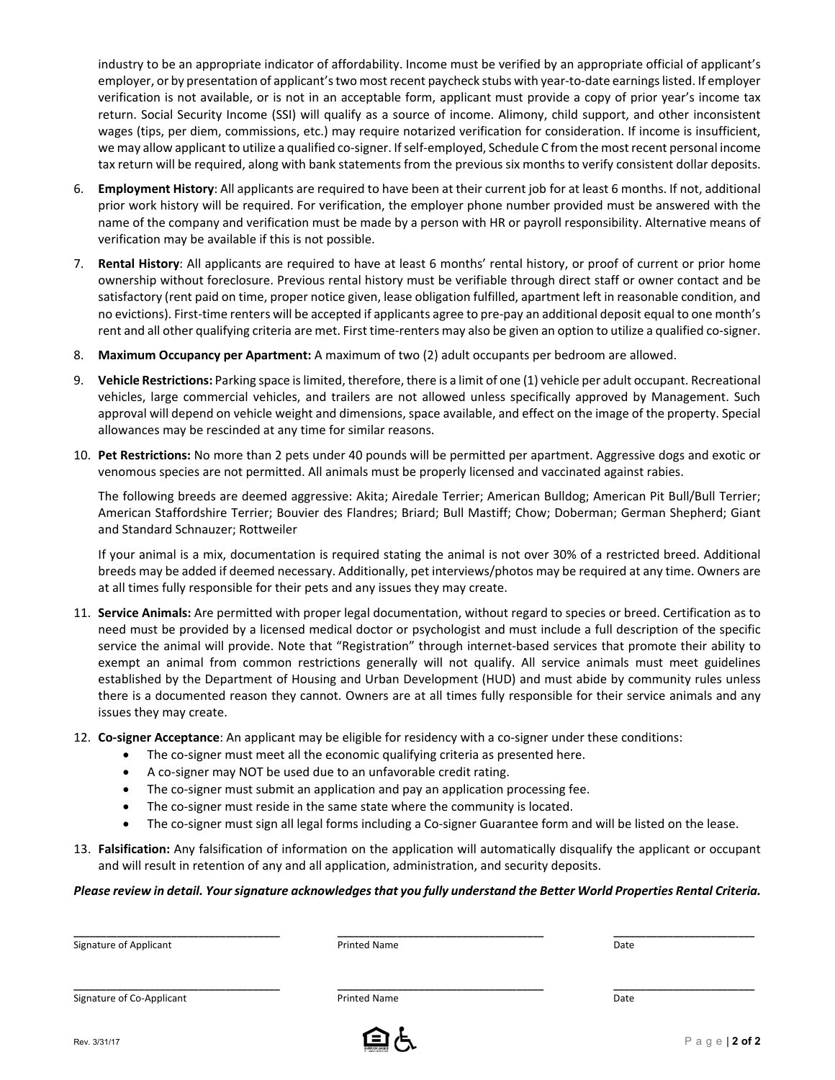industry to be an appropriate indicator of affordability. Income must be verified by an appropriate official of applicant's employer, or by presentation of applicant's two most recent paycheck stubs with year-to-date earnings listed. If employer verification is not available, or is not in an acceptable form, applicant must provide a copy of prior year's income tax return. Social Security Income (SSI) will qualify as a source of income. Alimony, child support, and other inconsistent wages (tips, per diem, commissions, etc.) may require notarized verification for consideration. If income is insufficient, we may allow applicant to utilize a qualified co-signer. If self-employed, Schedule C from the most recent personal income tax return will be required, along with bank statements from the previous six months to verify consistent dollar deposits.

- 6. **Employment History**: All applicants are required to have been at their current job for at least 6 months. If not, additional prior work history will be required. For verification, the employer phone number provided must be answered with the name of the company and verification must be made by a person with HR or payroll responsibility. Alternative means of verification may be available if this is not possible.
- 7. **Rental History**: All applicants are required to have at least 6 months' rental history, or proof of current or prior home ownership without foreclosure. Previous rental history must be verifiable through direct staff or owner contact and be satisfactory (rent paid on time, proper notice given, lease obligation fulfilled, apartment left in reasonable condition, and no evictions). First-time renters will be accepted if applicants agree to pre-pay an additional deposit equal to one month's rent and all other qualifying criteria are met. First time-renters may also be given an option to utilize a qualified co-signer.
- 8. **Maximum Occupancy per Apartment:** A maximum of two (2) adult occupants per bedroom are allowed.
- 9. **Vehicle Restrictions:** Parking space is limited, therefore, there is a limit of one (1) vehicle per adult occupant. Recreational vehicles, large commercial vehicles, and trailers are not allowed unless specifically approved by Management. Such approval will depend on vehicle weight and dimensions, space available, and effect on the image of the property. Special allowances may be rescinded at any time for similar reasons.
- 10. **Pet Restrictions:** No more than 2 pets under 40 pounds will be permitted per apartment. Aggressive dogs and exotic or venomous species are not permitted. All animals must be properly licensed and vaccinated against rabies.

The following breeds are deemed aggressive: Akita; Airedale Terrier; American Bulldog; American Pit Bull/Bull Terrier; American Staffordshire Terrier; Bouvier des Flandres; Briard; Bull Mastiff; Chow; Doberman; German Shepherd; Giant and Standard Schnauzer; Rottweiler

If your animal is a mix, documentation is required stating the animal is not over 30% of a restricted breed. Additional breeds may be added if deemed necessary. Additionally, pet interviews/photos may be required at any time. Owners are at all times fully responsible for their pets and any issues they may create.

- 11. **Service Animals:** Are permitted with proper legal documentation, without regard to species or breed. Certification as to need must be provided by a licensed medical doctor or psychologist and must include a full description of the specific service the animal will provide. Note that "Registration" through internet-based services that promote their ability to exempt an animal from common restrictions generally will not qualify. All service animals must meet guidelines established by the Department of Housing and Urban Development (HUD) and must abide by community rules unless there is a documented reason they cannot. Owners are at all times fully responsible for their service animals and any issues they may create.
- 12. **Co‐signer Acceptance**: An applicant may be eligible for residency with a co‐signer under these conditions:
	- The co-signer must meet all the economic qualifying criteria as presented here.
	- A co-signer may NOT be used due to an unfavorable credit rating.
	- The co-signer must submit an application and pay an application processing fee.
	- The co-signer must reside in the same state where the community is located.
	- The co-signer must sign all legal forms including a Co-signer Guarantee form and will be listed on the lease.
- 13. **Falsification:** Any falsification of information on the application will automatically disqualify the applicant or occupant and will result in retention of any and all application, administration, and security deposits.

#### *Please review in detail. Your signature acknowledges that you fully understand the Better World Properties Rental Criteria.*

**\_\_\_\_\_\_\_\_\_\_\_\_\_\_\_\_\_\_\_\_\_\_\_\_\_\_\_\_\_\_\_\_\_\_\_\_\_\_ \_\_\_\_\_\_\_\_\_\_\_\_\_\_\_\_\_\_\_\_\_\_\_\_\_\_\_\_\_\_\_\_\_\_\_\_\_\_ \_\_\_\_\_\_\_\_\_\_\_\_\_\_\_\_\_\_\_\_\_\_\_\_\_\_** 

Signature of Applicant **Printed Name Printed Name Printed Name Date Date Date** 

Signature of Co-Applicant 
and the Community of Co-Applicant 
and the Printed Name and the Printed Name and the Printed Name and the Printed Name and the Prince of Co-Applicant

**\_\_\_\_\_\_\_\_\_\_\_\_\_\_\_\_\_\_\_\_\_\_\_\_\_\_\_\_\_\_\_\_\_\_\_\_\_\_ \_\_\_\_\_\_\_\_\_\_\_\_\_\_\_\_\_\_\_\_\_\_\_\_\_\_\_\_\_\_\_\_\_\_\_\_\_\_ \_\_\_\_\_\_\_\_\_\_\_\_\_\_\_\_\_\_\_\_\_\_\_\_\_\_** 

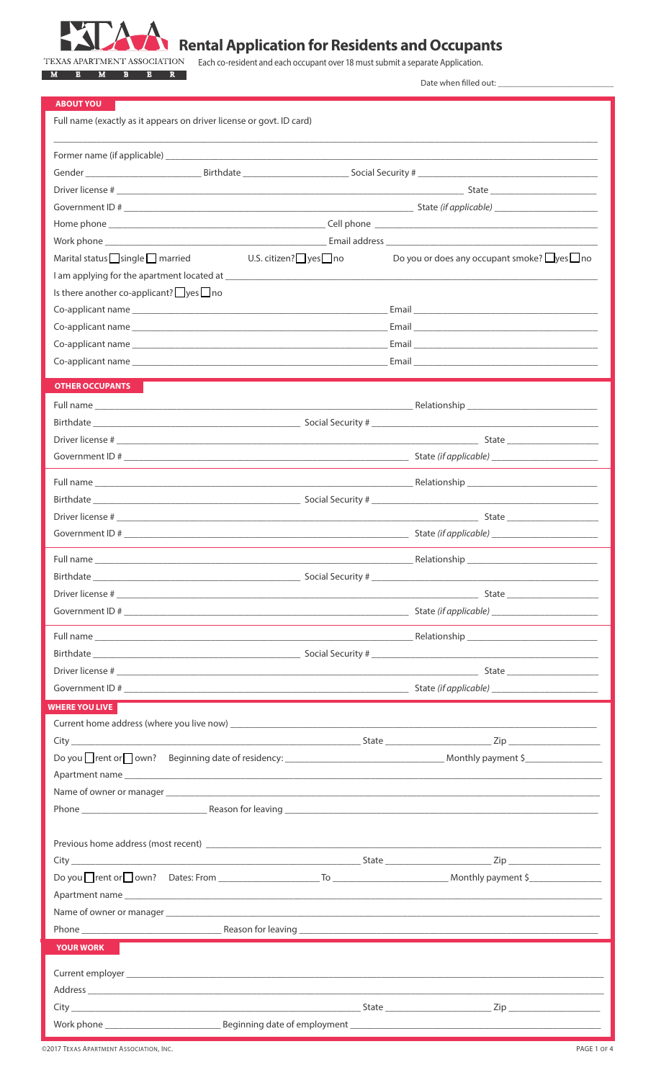

# **Rental Application for Residents and Occupants**

Each co-resident and each occupant over 18 must submit a separate Application. M E M B E R

Date when filled out:

| <b>ABOUT YOU</b>                                                                                                                                                                                                               |                                                         |
|--------------------------------------------------------------------------------------------------------------------------------------------------------------------------------------------------------------------------------|---------------------------------------------------------|
| Full name (exactly as it appears on driver license or govt. ID card)                                                                                                                                                           |                                                         |
|                                                                                                                                                                                                                                |                                                         |
|                                                                                                                                                                                                                                |                                                         |
|                                                                                                                                                                                                                                |                                                         |
|                                                                                                                                                                                                                                |                                                         |
|                                                                                                                                                                                                                                |                                                         |
|                                                                                                                                                                                                                                |                                                         |
| U.S. citizen? $\Box$ yes $\Box$ no<br>Marital status $\Box$ single $\Box$ married                                                                                                                                              | Do you or does any occupant smoke? $\Box$ yes $\Box$ no |
|                                                                                                                                                                                                                                |                                                         |
| Is there another co-applicant? $\Box$ yes $\Box$ no                                                                                                                                                                            |                                                         |
|                                                                                                                                                                                                                                |                                                         |
|                                                                                                                                                                                                                                |                                                         |
|                                                                                                                                                                                                                                |                                                         |
|                                                                                                                                                                                                                                |                                                         |
| <b>OTHER OCCUPANTS</b>                                                                                                                                                                                                         |                                                         |
|                                                                                                                                                                                                                                |                                                         |
|                                                                                                                                                                                                                                |                                                         |
|                                                                                                                                                                                                                                |                                                         |
|                                                                                                                                                                                                                                |                                                         |
|                                                                                                                                                                                                                                |                                                         |
|                                                                                                                                                                                                                                |                                                         |
|                                                                                                                                                                                                                                |                                                         |
|                                                                                                                                                                                                                                |                                                         |
|                                                                                                                                                                                                                                |                                                         |
|                                                                                                                                                                                                                                |                                                         |
| Social Security #<br>Birthdate_                                                                                                                                                                                                |                                                         |
|                                                                                                                                                                                                                                |                                                         |
|                                                                                                                                                                                                                                |                                                         |
|                                                                                                                                                                                                                                |                                                         |
|                                                                                                                                                                                                                                |                                                         |
|                                                                                                                                                                                                                                |                                                         |
|                                                                                                                                                                                                                                |                                                         |
|                                                                                                                                                                                                                                |                                                         |
| <b>WHERE YOU LIVE</b>                                                                                                                                                                                                          |                                                         |
|                                                                                                                                                                                                                                |                                                         |
|                                                                                                                                                                                                                                |                                                         |
|                                                                                                                                                                                                                                |                                                         |
| Apartment name experience and the contract of the contract of the contract of the contract of the contract of the contract of the contract of the contract of the contract of the contract of the contract of the contract of  |                                                         |
|                                                                                                                                                                                                                                |                                                         |
|                                                                                                                                                                                                                                |                                                         |
|                                                                                                                                                                                                                                |                                                         |
|                                                                                                                                                                                                                                |                                                         |
|                                                                                                                                                                                                                                |                                                         |
|                                                                                                                                                                                                                                |                                                         |
| Name of owner or manager and the control of the control of the control of the control of the control of the control of the control of the control of the control of the control of the control of the control of the control o |                                                         |
|                                                                                                                                                                                                                                |                                                         |
|                                                                                                                                                                                                                                |                                                         |
| <b>YOUR WORK</b>                                                                                                                                                                                                               |                                                         |
|                                                                                                                                                                                                                                |                                                         |
|                                                                                                                                                                                                                                |                                                         |
|                                                                                                                                                                                                                                |                                                         |
|                                                                                                                                                                                                                                |                                                         |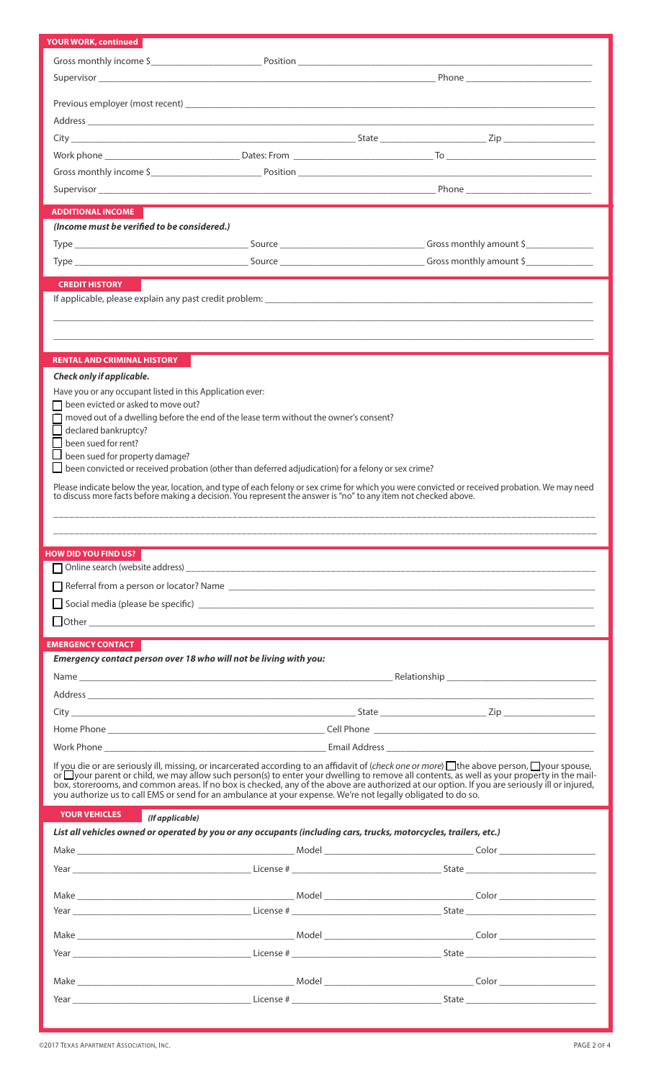| <b>YOUR WORK, continued</b>                                                                                       |                                                                                                                                                                                                                                                                                               |
|-------------------------------------------------------------------------------------------------------------------|-----------------------------------------------------------------------------------------------------------------------------------------------------------------------------------------------------------------------------------------------------------------------------------------------|
|                                                                                                                   |                                                                                                                                                                                                                                                                                               |
|                                                                                                                   |                                                                                                                                                                                                                                                                                               |
|                                                                                                                   |                                                                                                                                                                                                                                                                                               |
|                                                                                                                   |                                                                                                                                                                                                                                                                                               |
|                                                                                                                   |                                                                                                                                                                                                                                                                                               |
|                                                                                                                   |                                                                                                                                                                                                                                                                                               |
|                                                                                                                   |                                                                                                                                                                                                                                                                                               |
|                                                                                                                   |                                                                                                                                                                                                                                                                                               |
|                                                                                                                   |                                                                                                                                                                                                                                                                                               |
|                                                                                                                   |                                                                                                                                                                                                                                                                                               |
| <b>ADDITIONAL INCOME</b>                                                                                          |                                                                                                                                                                                                                                                                                               |
| (Income must be verified to be considered.)                                                                       |                                                                                                                                                                                                                                                                                               |
|                                                                                                                   |                                                                                                                                                                                                                                                                                               |
|                                                                                                                   |                                                                                                                                                                                                                                                                                               |
| <b>CREDIT HISTORY</b>                                                                                             |                                                                                                                                                                                                                                                                                               |
|                                                                                                                   |                                                                                                                                                                                                                                                                                               |
|                                                                                                                   |                                                                                                                                                                                                                                                                                               |
|                                                                                                                   |                                                                                                                                                                                                                                                                                               |
|                                                                                                                   |                                                                                                                                                                                                                                                                                               |
| RENTAL AND CRIMINAL HISTORY                                                                                       |                                                                                                                                                                                                                                                                                               |
| Check only if applicable.                                                                                         |                                                                                                                                                                                                                                                                                               |
| Have you or any occupant listed in this Application ever:                                                         |                                                                                                                                                                                                                                                                                               |
| $\Box$ been evicted or asked to move out?                                                                         |                                                                                                                                                                                                                                                                                               |
| moved out of a dwelling before the end of the lease term without the owner's consent?                             |                                                                                                                                                                                                                                                                                               |
| declared bankruptcy?                                                                                              |                                                                                                                                                                                                                                                                                               |
| been sued for rent?<br>$\Box$ been sued for property damage?                                                      |                                                                                                                                                                                                                                                                                               |
| $\Box$ been convicted or received probation (other than deferred adjudication) for a felony or sex crime?         |                                                                                                                                                                                                                                                                                               |
|                                                                                                                   |                                                                                                                                                                                                                                                                                               |
|                                                                                                                   | Please indicate below the year, location, and type of each felony or sex crime for which you were convicted or received probation. We may need to discuss more facts before making a decision. You represent the answer is "no                                                                |
|                                                                                                                   |                                                                                                                                                                                                                                                                                               |
|                                                                                                                   |                                                                                                                                                                                                                                                                                               |
|                                                                                                                   |                                                                                                                                                                                                                                                                                               |
|                                                                                                                   |                                                                                                                                                                                                                                                                                               |
| <b>HOW DID YOU FIND US?</b>                                                                                       |                                                                                                                                                                                                                                                                                               |
|                                                                                                                   |                                                                                                                                                                                                                                                                                               |
|                                                                                                                   |                                                                                                                                                                                                                                                                                               |
|                                                                                                                   |                                                                                                                                                                                                                                                                                               |
| $\Box$ Other $\Box$                                                                                               |                                                                                                                                                                                                                                                                                               |
|                                                                                                                   |                                                                                                                                                                                                                                                                                               |
| <b>EMERGENCY CONTACT</b>                                                                                          |                                                                                                                                                                                                                                                                                               |
| Emergency contact person over 18 who will not be living with you:                                                 |                                                                                                                                                                                                                                                                                               |
|                                                                                                                   |                                                                                                                                                                                                                                                                                               |
|                                                                                                                   |                                                                                                                                                                                                                                                                                               |
|                                                                                                                   |                                                                                                                                                                                                                                                                                               |
|                                                                                                                   |                                                                                                                                                                                                                                                                                               |
|                                                                                                                   |                                                                                                                                                                                                                                                                                               |
|                                                                                                                   |                                                                                                                                                                                                                                                                                               |
|                                                                                                                   | If you die or are seriously ill, missing, or incarcerated according to an affidavit of (check one or more) the above person, $\Box$ your spouse,<br>or your parent or child, we may allow such person(s) to enter your dwelling to remove all contents, as well as your property in the mail- |
|                                                                                                                   | box, storerooms, and common areas. If no box is checked, any of the above are authorized at our option. If you are seriously ill or injured,                                                                                                                                                  |
| you authorize us to call EMS or send for an ambulance at your expense. We're not legally obligated to do so.      |                                                                                                                                                                                                                                                                                               |
| <b>YOUR VEHICLES</b><br>(If applicable)                                                                           |                                                                                                                                                                                                                                                                                               |
| List all vehicles owned or operated by you or any occupants (including cars, trucks, motorcycles, trailers, etc.) |                                                                                                                                                                                                                                                                                               |
|                                                                                                                   |                                                                                                                                                                                                                                                                                               |
|                                                                                                                   |                                                                                                                                                                                                                                                                                               |
|                                                                                                                   |                                                                                                                                                                                                                                                                                               |
|                                                                                                                   |                                                                                                                                                                                                                                                                                               |
|                                                                                                                   |                                                                                                                                                                                                                                                                                               |
|                                                                                                                   |                                                                                                                                                                                                                                                                                               |
|                                                                                                                   |                                                                                                                                                                                                                                                                                               |
|                                                                                                                   |                                                                                                                                                                                                                                                                                               |
|                                                                                                                   |                                                                                                                                                                                                                                                                                               |
|                                                                                                                   | $\frac{1}{\sqrt{1-\frac{1}{2}}}\text{State}\left(\frac{1}{\sqrt{1-\frac{1}{2}}}\right)$                                                                                                                                                                                                       |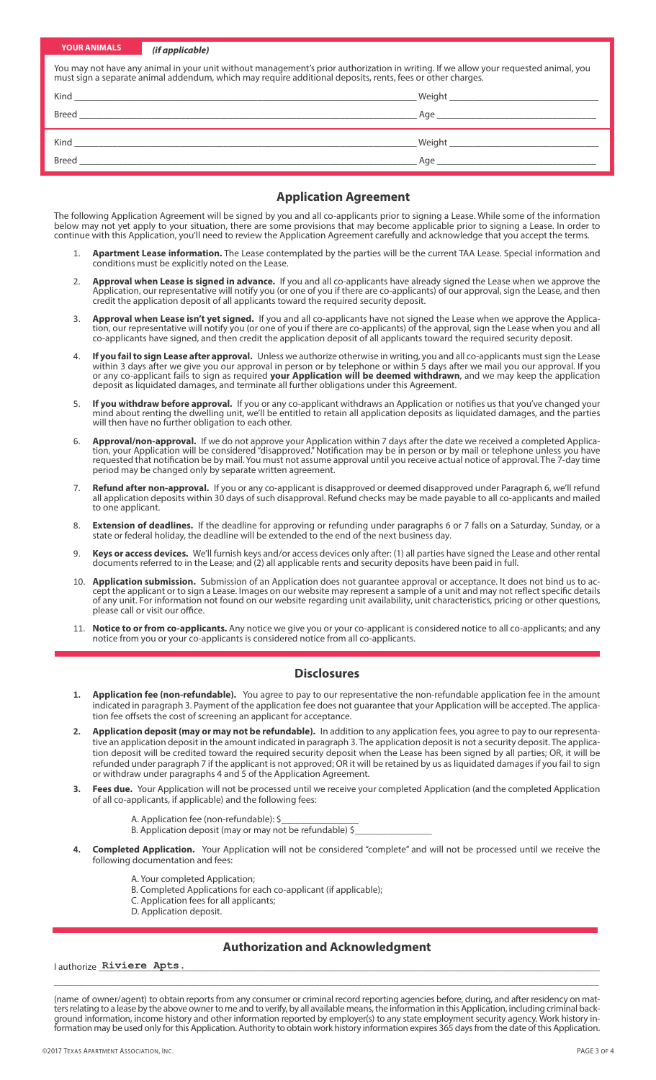| <b>YOUR ANIMALS</b> | (if applicable) |                                                                                                                                                                                                                                                    |
|---------------------|-----------------|----------------------------------------------------------------------------------------------------------------------------------------------------------------------------------------------------------------------------------------------------|
|                     |                 | You may not have any animal in your unit without management's prior authorization in writing. If we allow your requested animal, you<br>must sign a separate animal addendum, which may require additional deposits, rents, fees or other charges. |
|                     |                 |                                                                                                                                                                                                                                                    |
|                     |                 |                                                                                                                                                                                                                                                    |
|                     |                 |                                                                                                                                                                                                                                                    |
|                     |                 | Age and the state of the state of the state of the state of the state of the state of the state of the state of the state of the state of the state of the state of the state of the state of the state of the state of the st                     |

#### **Application Agreement**

The following Application Agreement will be signed by you and all co-applicants prior to signing a Lease. While some of the information below may not yet apply to your situation, there are some provisions that may become applicable prior to signing a Lease. In order to continue with this Application, you'll need to review the Application Agreement carefully and acknowledge that you accept the terms.

- 1. **Apartment Lease information.** The Lease contemplated by the parties will be the current TAA Lease. Special information and conditions must be explicitly noted on the Lease.
- 2. **Approval when Lease is signed in advance.** If you and all co-applicants have already signed the Lease when we approve the Application, our representative will notify you (or one of you if there are co-applicants) of our approval, sign the Lease, and then credit the application deposit of all applicants toward the required security deposit.
- 3. **Approval when Lease isn't yet signed.** If you and all co-applicants have not signed the Lease when we approve the Application, our representative will notify you (or one of you if there are co-applicants) of the approval, sign the Lease when you and all co-applicants have signed, and then credit the application deposit of all applicants toward the required security deposit.
- 4. **If you fail to sign Lease after approval.** Unless we authorize otherwise in writing, you and all co-applicants must sign the Lease within 3 days after we give you our approval in person or by telephone or within 5 days after we mail you our approval. If you or any co-applicant fails to sign as required **your Application will be deemed withdrawn**, and we may keep the application deposit as liquidated damages, and terminate all further obligations under this Agreement.
- 5. **If you withdraw before approval.** If you or any co-applicant withdraws an Application or notifies us that you've changed your mind about renting the dwelling unit, we'll be entitled to retain all application deposits as liquidated damages, and the parties will then have no further obligation to each other.
- 6. **Approval/non-approval.** If we do not approve your Application within 7 days after the date we received a completed Application, your Application will be considered "disapproved." Notification may be in person or by mail or telephone unless you have requested that notification be by mail. You must not assume approval until you receive actual notice of approval. The 7-day time period may be changed only by separate written agreement.
- 7. **Refund after non-approval.** If you or any co-applicant is disapproved or deemed disapproved under Paragraph 6, we'll refund all application deposits within 30 days of such disapproval. Refund checks may be made payable to all co-applicants and mailed to one applicant.
- 8. **Extension of deadlines.** If the deadline for approving or refunding under paragraphs 6 or 7 falls on a Saturday, Sunday, or a state or federal holiday, the deadline will be extended to the end of the next business day.
- Keys or access devices. We'll furnish keys and/or access devices only after: (1) all parties have signed the Lease and other rental documents referred to in the Lease; and (2) all applicable rents and security deposits have been paid in full.
- 10. **Application submission.** Submission of an Application does not guarantee approval or acceptance. It does not bind us to accept the applicant or to sign a Lease. Images on our website may represent a sample of a unit and may not reflect specific details of any unit. For information not found on our website regarding unit availability, unit characteristics, pricing or other questions, please call or visit our office.
- 11. **Notice to or from co-applicants.** Any notice we give you or your co-applicant is considered notice to all co-applicants; and any notice from you or your co-applicants is considered notice from all co-applicants.

### **Disclosures**

- **1. Application fee (non-refundable).** You agree to pay to our representative the non-refundable application fee in the amount indicated in paragraph 3. Payment of the application fee does not guarantee that your Application will be accepted. The application fee offsets the cost of screening an applicant for acceptance.
- **2. Application deposit (may or may not be refundable).** In addition to any application fees, you agree to pay to our representative an application deposit in the amount indicated in paragraph 3. The application deposit is not a security deposit. The application deposit will be credited toward the required security deposit when the Lease has been signed by all parties; OR, it will be refunded under paragraph 7 if the applicant is not approved; OR it will be retained by us as liquidated damages if you fail to sign or withdraw under paragraphs 4 and 5 of the Application Agreement.
- **3. Fees due.** Your Application will not be processed until we receive your completed Application (and the completed Application of all co-applicants, if applicable) and the following fees:
	- A. Application fee (non-refundable): \$
	- B. Application deposit (may or may not be refundable) \$\_
- **4. Completed Application.** Your Application will not be considered "complete" and will not be processed until we receive the following documentation and fees:
	- A. Your completed Application;
	- B. Completed Applications for each co-applicant (if applicable);
	- C. Application fees for all applicants;
	- D. Application deposit.

# **Authorization and Acknowledgment**

 $I$  authorize  $R$ iviere  $A$ pts.

(name of owner/agent) to obtain reports from any consumer or criminal record reporting agencies before, during, and after residency on mat-<br>ters relating to a lease by the above owner to me and to verify, by all available ground information, income history and other information reported by employer(s) to any state employment security agency. Work history information may be used only for this Application. Authority to obtain work history information expires 365 days from the date of this Application.

\_\_\_\_\_\_\_\_\_\_\_\_\_\_\_\_\_\_\_\_\_\_\_\_\_\_\_\_\_\_\_\_\_\_\_\_\_\_\_\_\_\_\_\_\_\_\_\_\_\_\_\_\_\_\_\_\_\_\_\_\_\_\_\_\_\_\_\_\_\_\_\_\_\_\_\_\_\_\_\_\_\_\_\_\_\_\_\_\_\_\_\_\_\_\_\_\_\_\_\_\_\_\_\_\_\_\_\_\_\_\_\_\_